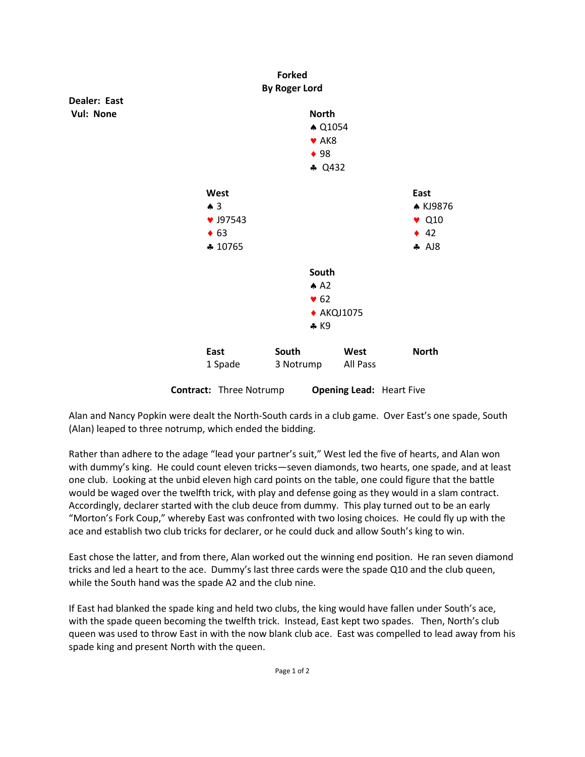

Alan and Nancy Popkin were dealt the North-South cards in a club game. Over East's one spade, South (Alan) leaped to three notrump, which ended the bidding.

Rather than adhere to the adage "lead your partner's suit," West led the five of hearts, and Alan won with dummy's king. He could count eleven tricks—seven diamonds, two hearts, one spade, and at least one club. Looking at the unbid eleven high card points on the table, one could figure that the battle would be waged over the twelfth trick, with play and defense going as they would in a slam contract. Accordingly, declarer started with the club deuce from dummy. This play turned out to be an early "Morton's Fork Coup," whereby East was confronted with two losing choices. He could fly up with the ace and establish two club tricks for declarer, or he could duck and allow South's king to win.

East chose the latter, and from there, Alan worked out the winning end position. He ran seven diamond tricks and led a heart to the ace. Dummy's last three cards were the spade Q10 and the club queen, while the South hand was the spade A2 and the club nine.

If East had blanked the spade king and held two clubs, the king would have fallen under South's ace, with the spade queen becoming the twelfth trick. Instead, East kept two spades. Then, North's club queen was used to throw East in with the now blank club ace. East was compelled to lead away from his spade king and present North with the queen.